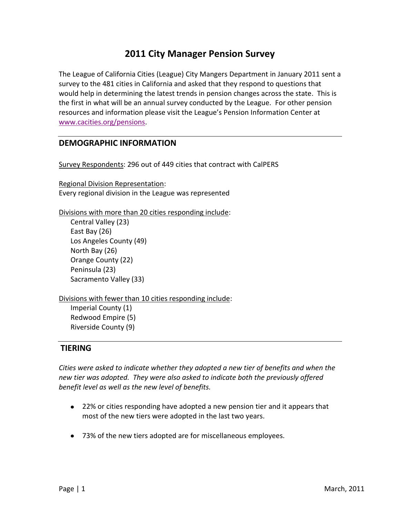# **2011 City Manager Pension Survey**

The League of California Cities (League) City Mangers Department in January 2011 sent a survey to the 481 cities in California and asked that they respond to questions that would help in determining the latest trends in pension changes across the state. This is the first in what will be an annual survey conducted by the League. For other pension resources and information please visit the League's Pension Information Center at [www.cacities.org/pensions.](http://www.cacities.org/pensions)

### **DEMOGRAPHIC INFORMATION**

Survey Respondents: 296 out of 449 cities that contract with CalPERS

Regional Division Representation: Every regional division in the League was represented

Divisions with more than 20 cities responding include:

Central Valley (23) East Bay (26) Los Angeles County (49) North Bay (26) Orange County (22) Peninsula (23) Sacramento Valley (33)

Divisions with fewer than 10 cities responding include:

Imperial County (1) Redwood Empire (5) Riverside County (9)

### **TIERING**

*Cities were asked to indicate whether they adopted a new tier of benefits and when the new tier was adopted. They were also asked to indicate both the previously offered benefit level as well as the new level of benefits.* 

- 22% or cities responding have adopted a new pension tier and it appears that most of the new tiers were adopted in the last two years.
- 73% of the new tiers adopted are for miscellaneous employees.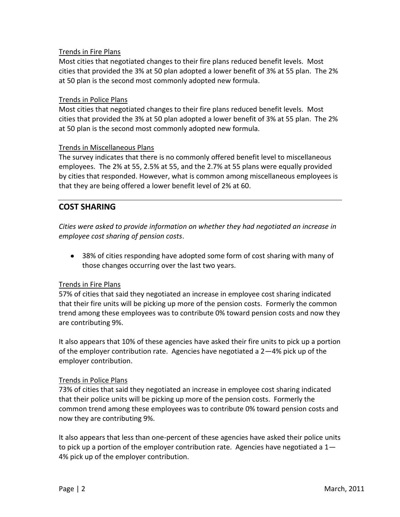### Trends in Fire Plans

Most cities that negotiated changes to their fire plans reduced benefit levels. Most cities that provided the 3% at 50 plan adopted a lower benefit of 3% at 55 plan. The 2% at 50 plan is the second most commonly adopted new formula.

#### Trends in Police Plans

Most cities that negotiated changes to their fire plans reduced benefit levels. Most cities that provided the 3% at 50 plan adopted a lower benefit of 3% at 55 plan. The 2% at 50 plan is the second most commonly adopted new formula.

#### Trends in Miscellaneous Plans

The survey indicates that there is no commonly offered benefit level to miscellaneous employees. The 2% at 55, 2.5% at 55, and the 2.7% at 55 plans were equally provided by cities that responded. However, what is common among miscellaneous employees is that they are being offered a lower benefit level of 2% at 60.

### **COST SHARING**

*Cities were asked to provide information on whether they had negotiated an increase in employee cost sharing of pension costs*.

38% of cities responding have adopted some form of cost sharing with many of those changes occurring over the last two years.

#### Trends in Fire Plans

57% of cities that said they negotiated an increase in employee cost sharing indicated that their fire units will be picking up more of the pension costs. Formerly the common trend among these employees was to contribute 0% toward pension costs and now they are contributing 9%.

It also appears that 10% of these agencies have asked their fire units to pick up a portion of the employer contribution rate. Agencies have negotiated a 2—4% pick up of the employer contribution.

#### Trends in Police Plans

73% of cities that said they negotiated an increase in employee cost sharing indicated that their police units will be picking up more of the pension costs. Formerly the common trend among these employees was to contribute 0% toward pension costs and now they are contributing 9%.

It also appears that less than one-percent of these agencies have asked their police units to pick up a portion of the employer contribution rate. Agencies have negotiated a  $1-$ 4% pick up of the employer contribution.